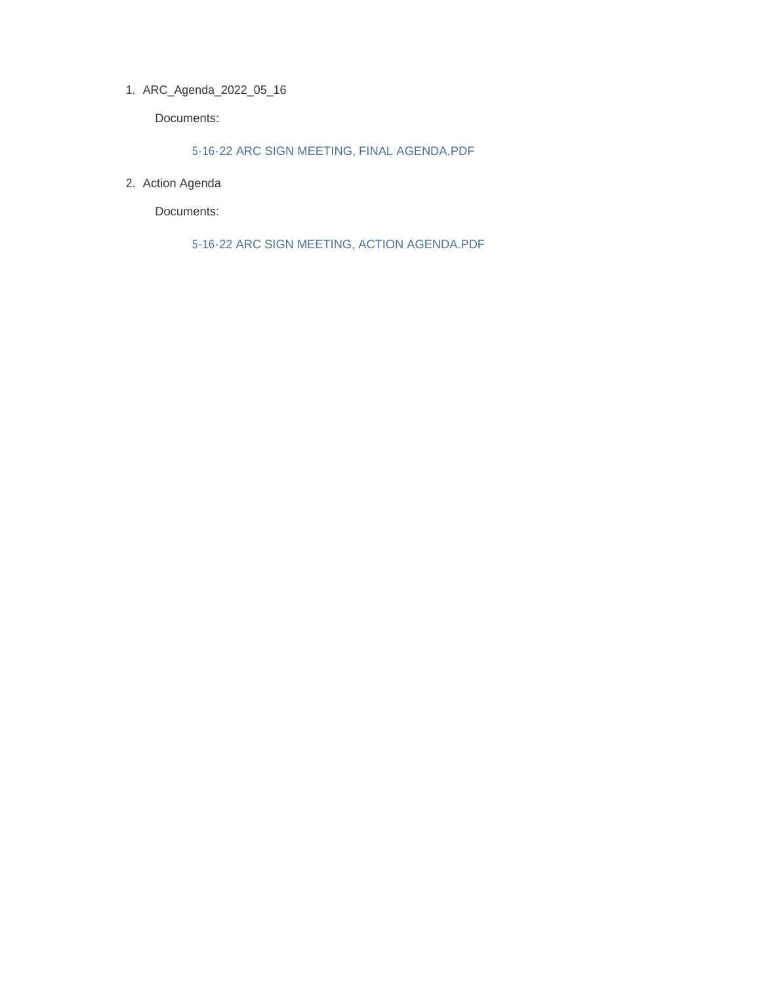ARC\_Agenda\_2022\_05\_16 1.

Documents:

5-16-22 ARC SIGN MEETING, FINAL AGENDA.PDF

2. Action Agenda

Documents:

5-16-22 ARC SIGN MEETING, ACTION AGENDA.PDF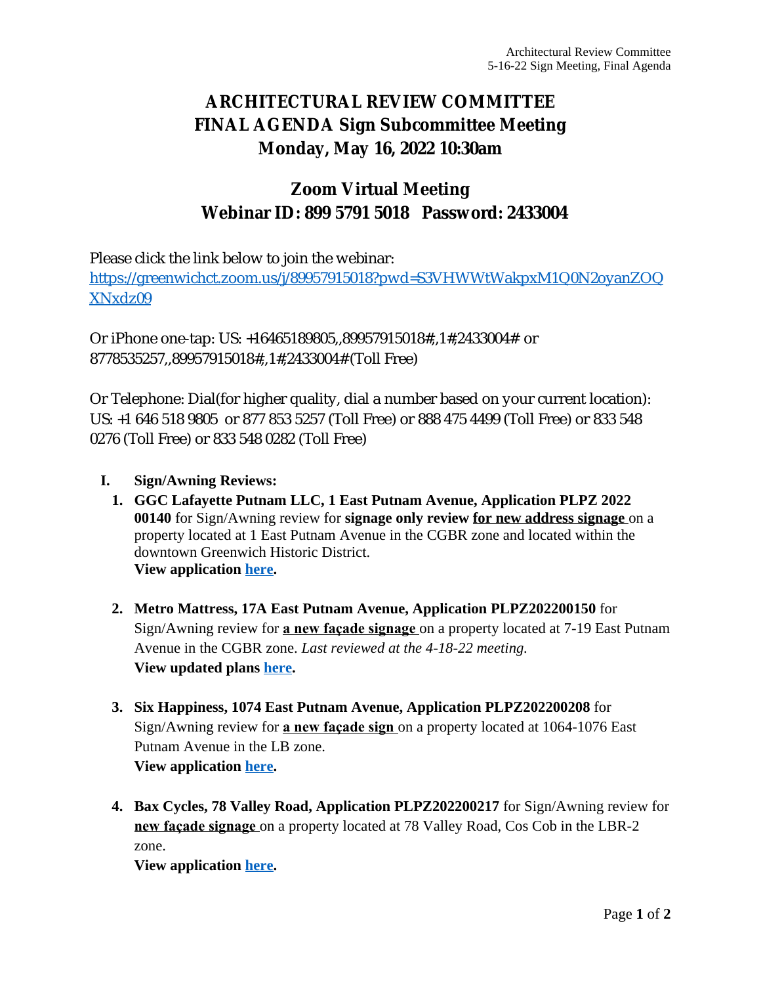# **ARCHITECTURAL REVIEW COMMITTEE FINAL AGENDA Sign Subcommittee Meeting Monday, May 16, 2022 10:30am**

### **Zoom Virtual Meeting Webinar ID: 899 5791 5018 Password: 2433004**

Please click the link below to join the webinar:

[https://greenwichct.zoom.us/j/89957915018?pwd=S3VHWWtWakpxM1Q0N2oyanZOQ](https://greenwichct.zoom.us/j/89957915018?pwd=S3VHWWtWakpxM1Q0N2oyanZOQXNxdz09) XNxdz09

Or iPhone one-tap: US: +16465189805,,89957915018#,,1#,2433004# or 8778535257,,89957915018#,,1#,2433004# (Toll Free)

Or Telephone: Dial(for higher quality, dial a number based on your current location): US: +1 646 518 9805 or 877 853 5257 (Toll Free) or 888 475 4499 (Toll Free) or 833 548 0276 (Toll Free) or 833 548 0282 (Toll Free)

- **I. Sign/Awning Reviews:**
	- **1. GGC Lafayette Putnam LLC, 1 East Putnam Avenue, Application PLPZ 2022 00140** for Sign/Awning review for **signage only review for new address signage** on a property located at 1 East Putnam Avenue in the CGBR zone and located within the downtown Greenwich Historic District. **View application [here.](https://www.greenwichct.gov/DocumentCenter/View/31089/1-EPA-signage-PLPZ202200140)**
	- **2. Metro Mattress, 17A East Putnam Avenue, Application PLPZ202200150** for Sign/Awning review for **a new façade signage** on a property located at 7-19 East Putnam Avenue in the CGBR zone. *Last reviewed at the 4-18-22 meeting.* **View updated plans [here](https://www.greenwichct.gov/DocumentCenter/View/31093/Metro-Mattress-17A-EPA-PLPZ202200150).**
	- **3. Six Happiness, 1074 East Putnam Avenue, Application PLPZ202200208** for Sign/Awning review for **a new façade sign** on a property located at 1064-1076 East Putnam Avenue in the LB zone. **View application [here.](https://www.greenwichct.gov/DocumentCenter/View/31092/1074-EPA-Six-Happiness-PLPZ202200208)**
	- **4. Bax Cycles, 78 Valley Road, Application PLPZ202200217** for Sign/Awning review for **new façade signage** on a property located at 78 Valley Road, Cos Cob in the LBR-2 zone.

**View application [here.](https://www.greenwichct.gov/DocumentCenter/View/31091/78-Valley-Road-Bax-Cycles-PLPZ202200217)**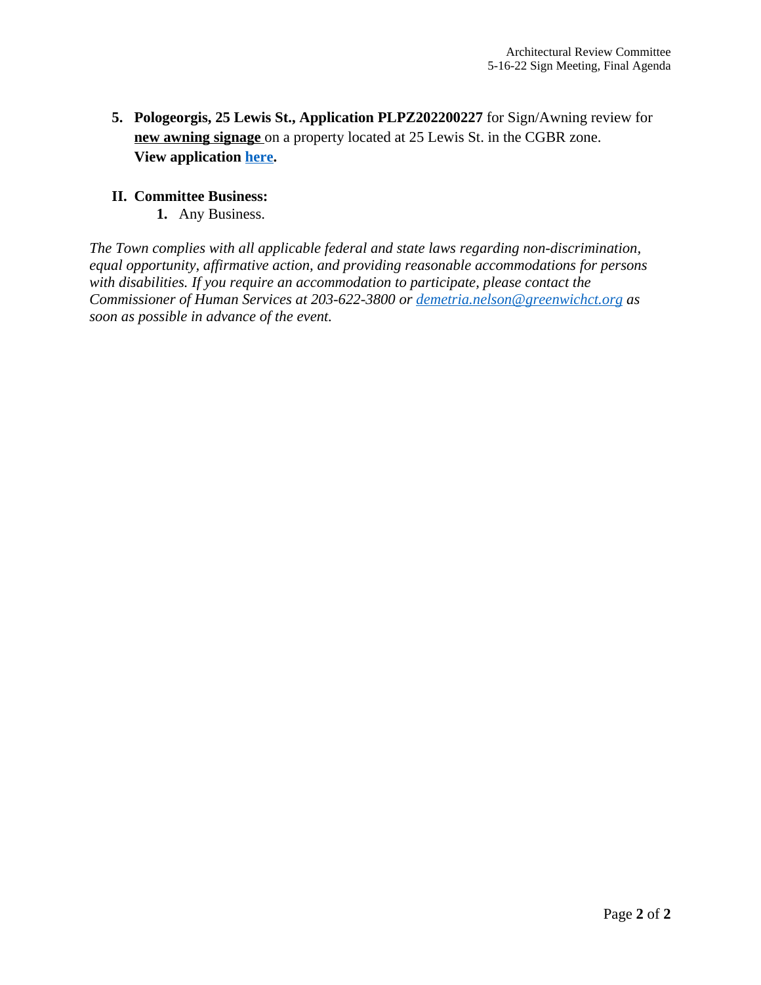**5. Pologeorgis, 25 Lewis St., Application PLPZ202200227** for Sign/Awning review for **new awning signage** on a property located at 25 Lewis St. in the CGBR zone. **View application [here.](https://www.greenwichct.gov/DocumentCenter/View/31090/25-Lewis-Pologeorgis-PLPZ202200227)**

#### **II. Committee Business:**

**1.** Any Business.

*The Town complies with all applicable federal and state laws regarding non-discrimination, equal opportunity, affirmative action, and providing reasonable accommodations for persons with disabilities. If you require an accommodation to participate, please contact the Commissioner of Human Services at 203-622-3800 or [demetria.nelson@greenwichct.org](mailto:demetria.nelson@greenwichct.org) as soon as possible in advance of the event.*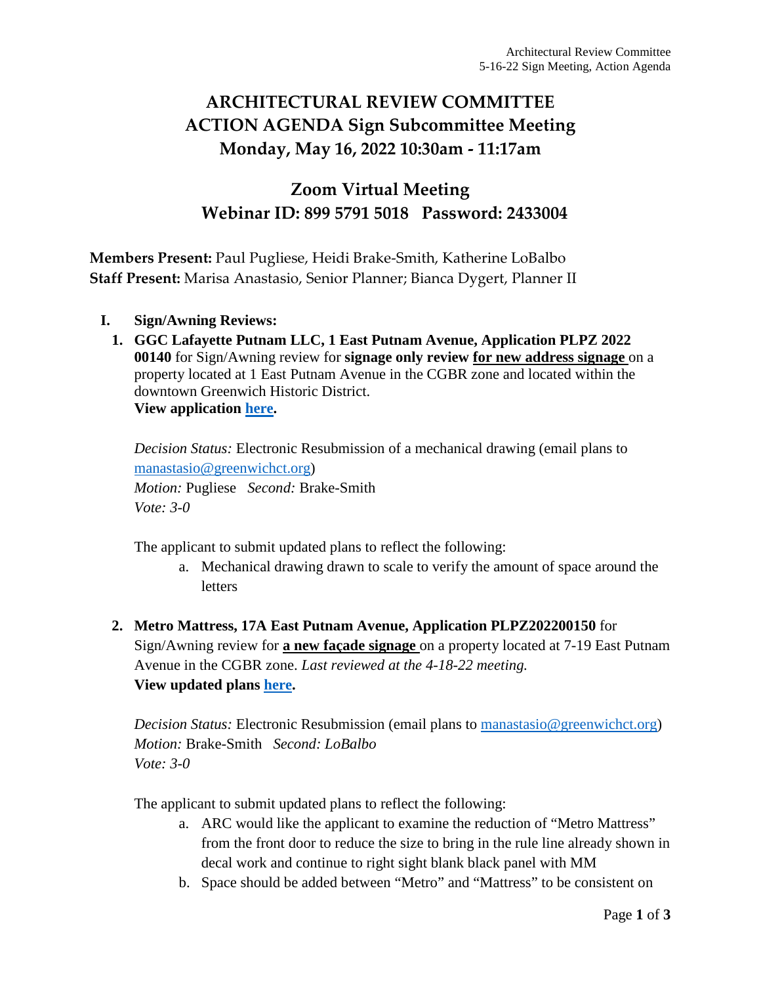## **ARCHITECTURAL REVIEW COMMITTEE ACTION AGENDA Sign Subcommittee Meeting Monday, May 16, 2022 10:30am - 11:17am**

#### **Zoom Virtual Meeting Webinar ID: 899 5791 5018 Password: 2433004**

**Members Present:** Paul Pugliese, Heidi Brake-Smith, Katherine LoBalbo **Staff Present:** Marisa Anastasio, Senior Planner; Bianca Dygert, Planner II

- **I. Sign/Awning Reviews:**
	- **1. GGC Lafayette Putnam LLC, 1 East Putnam Avenue, Application PLPZ 2022 00140** for Sign/Awning review for **signage only review for new address signage** on a property located at 1 East Putnam Avenue in the CGBR zone and located within the downtown Greenwich Historic District. **View application [here.](https://www.greenwichct.gov/DocumentCenter/View/31089/1-EPA-signage-PLPZ202200140)**

*Decision Status:* Electronic Resubmission of a mechanical drawing (email plans to [manastasio@greenwichct.org\)](mailto:manastasio@greenwichct.org)

*Motion:* Pugliese *Second:* Brake-Smith *Vote: 3-0*

The applicant to submit updated plans to reflect the following:

- a. Mechanical drawing drawn to scale to verify the amount of space around the letters
- **2. Metro Mattress, 17A East Putnam Avenue, Application PLPZ202200150** for Sign/Awning review for **a new façade signage** on a property located at 7-19 East Putnam Avenue in the CGBR zone. *Last reviewed at the 4-18-22 meeting.*  **View updated plans [here.](https://www.greenwichct.gov/DocumentCenter/View/31093/Metro-Mattress-17A-EPA-PLPZ202200150)**

*Decision Status: Electronic Resubmission (email plans to [manastasio@greenwichct.org\)](mailto:manastasio@greenwichct.org) Motion:* Brake-Smith *Second: LoBalbo Vote: 3-0*

The applicant to submit updated plans to reflect the following:

- a. ARC would like the applicant to examine the reduction of "Metro Mattress" from the front door to reduce the size to bring in the rule line already shown in decal work and continue to right sight blank black panel with MM
- b. Space should be added between "Metro" and "Mattress" to be consistent on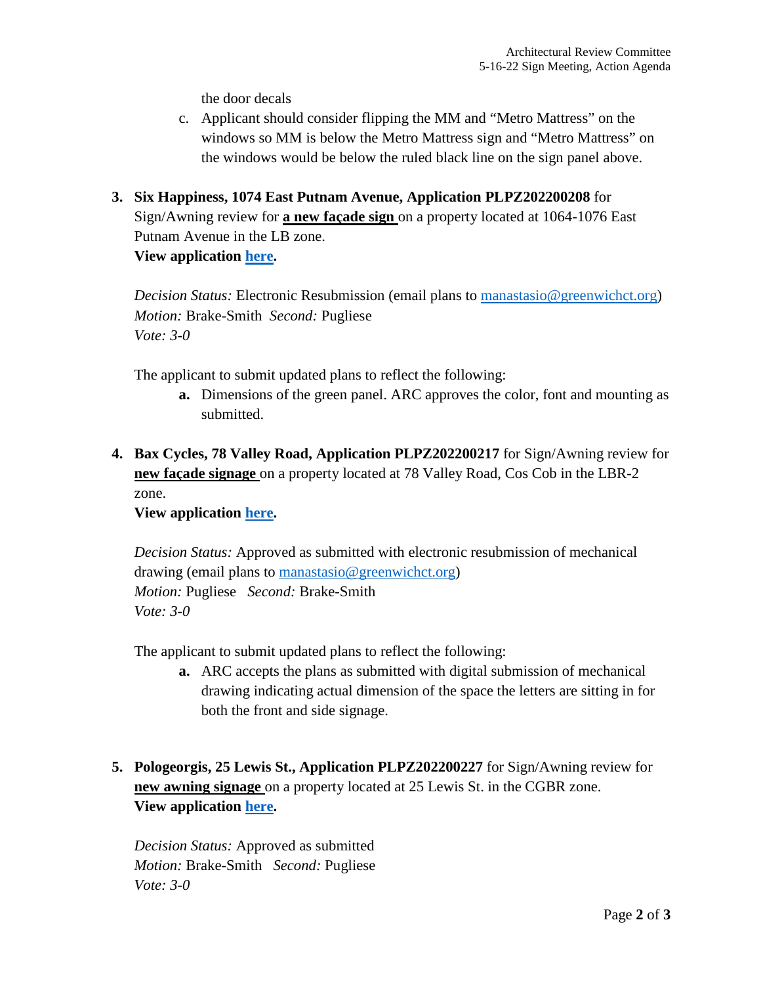the door decals

- c. Applicant should consider flipping the MM and "Metro Mattress" on the windows so MM is below the Metro Mattress sign and "Metro Mattress" on the windows would be below the ruled black line on the sign panel above.
- **3. Six Happiness, 1074 East Putnam Avenue, Application PLPZ202200208** for Sign/Awning review for **a new façade sign** on a property located at 1064-1076 East Putnam Avenue in the LB zone. **View application [here.](https://www.greenwichct.gov/DocumentCenter/View/31092/1074-EPA-Six-Happiness-PLPZ202200208)**

*Decision Status:* Electronic Resubmission (email plans to [manastasio@greenwichct.org\)](mailto:manastasio@greenwichct.org) *Motion:* Brake-Smith *Second:* Pugliese *Vote: 3-0*

The applicant to submit updated plans to reflect the following:

- **a.** Dimensions of the green panel. ARC approves the color, font and mounting as submitted.
- **4. Bax Cycles, 78 Valley Road, Application PLPZ202200217** for Sign/Awning review for **new façade signage** on a property located at 78 Valley Road, Cos Cob in the LBR-2 zone.

**View application [here.](https://www.greenwichct.gov/DocumentCenter/View/31091/78-Valley-Road-Bax-Cycles-PLPZ202200217)** 

*Decision Status:* Approved as submitted with electronic resubmission of mechanical drawing (email plans to [manastasio@greenwichct.org\)](mailto:manastasio@greenwichct.org) *Motion:* Pugliese *Second:* Brake-Smith *Vote: 3-0*

The applicant to submit updated plans to reflect the following:

- **a.** ARC accepts the plans as submitted with digital submission of mechanical drawing indicating actual dimension of the space the letters are sitting in for both the front and side signage.
- **5. Pologeorgis, 25 Lewis St., Application PLPZ202200227** for Sign/Awning review for **new awning signage** on a property located at 25 Lewis St. in the CGBR zone. **View application [here.](https://www.greenwichct.gov/DocumentCenter/View/31090/25-Lewis-Pologeorgis-PLPZ202200227)**

*Decision Status:* Approved as submitted *Motion:* Brake-Smith *Second:* Pugliese *Vote: 3-0*